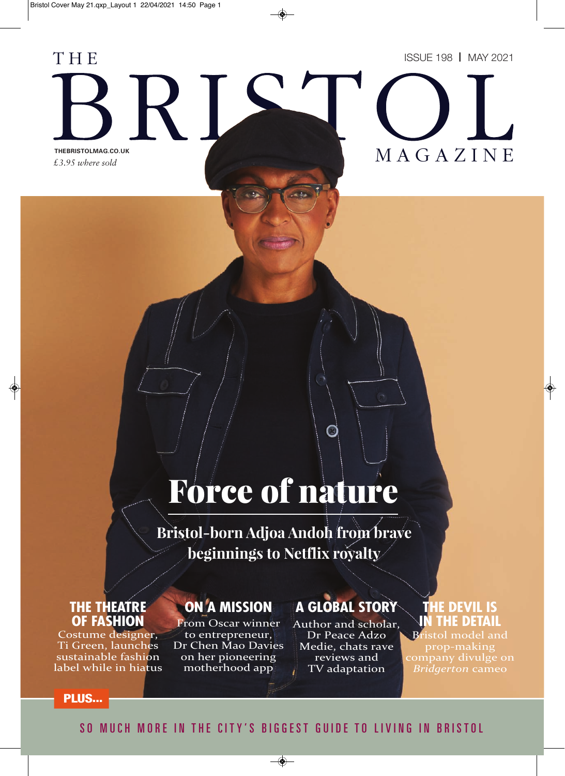*£3.95 where sold*

R I

T H E



# THEBRISTOLMAG.CO.UK<br>COOK A Z I N E

# Force of nature

**Bristol-born Adjoa Andoh from brave beginnings to Netflix royalty**

### **THE THEATRE OF FASHION**

Costume designer, Ti Green, launches sustainable fashion label while in hiatus

# **ON A MISSION**

From Oscar winner to entrepreneur, Dr Chen Mao Davies on her pioneering motherhood app

# **A GLOBAL STORY**

O

Author and scholar, Dr Peace Adzo Medie, chats rave reviews and TV adaptation

# **THE DEVIL IS IN THE DETAIL**

Bristol model and prop-making company divulge on *Bridgerton* cameo

#### **PLUS...**

## SO MUCH MORE IN THE CITY'S BIGGEST GUIDE TO LIVING IN BRISTOL